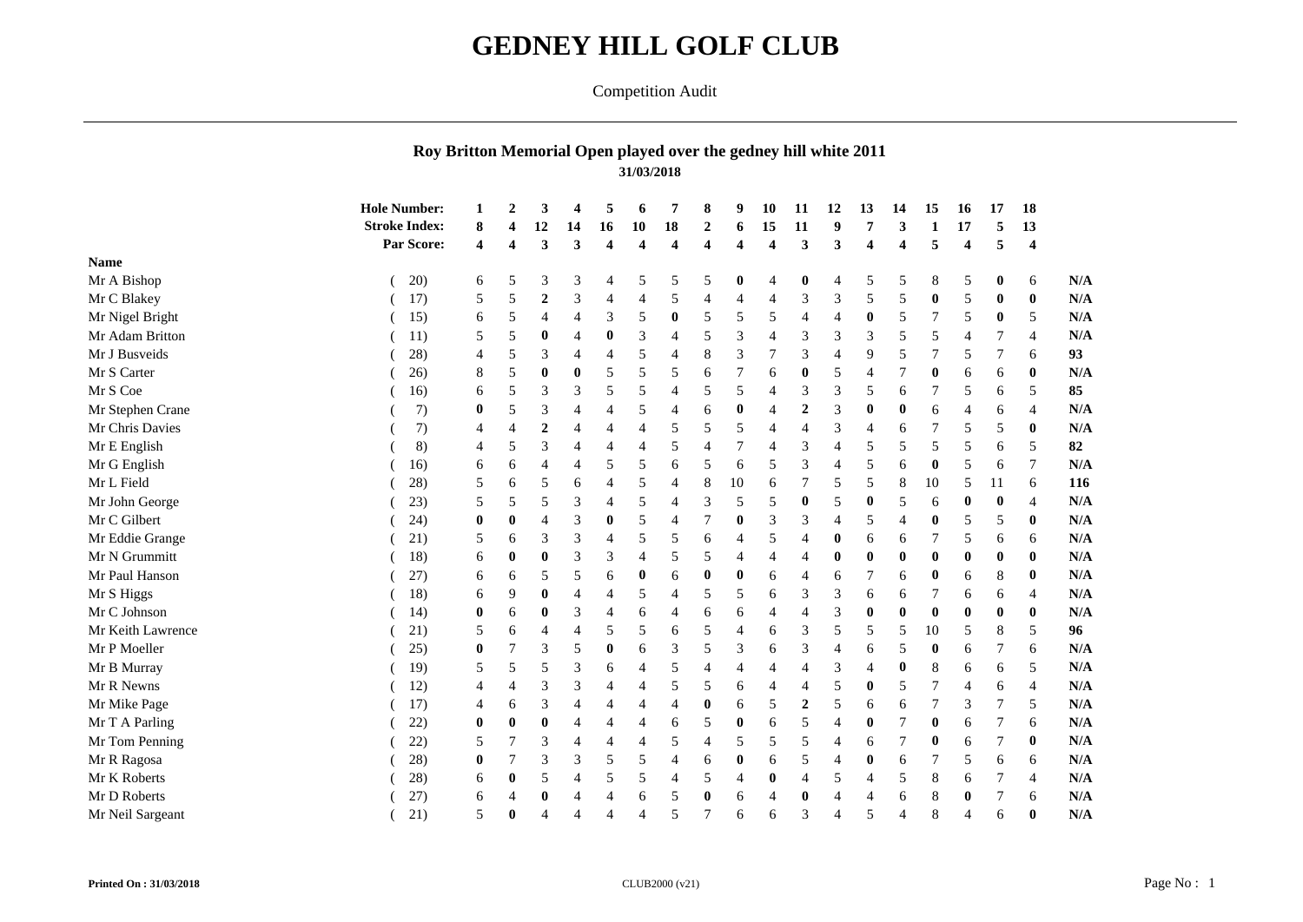## **GEDNEY HILL GOLF CLUB**

## Competition Audit

## **Roy Britton Memorial Open played over the gedney hill white 2011 31/03/2018**

|                   | <b>Hole Number:</b>  |          | $\overline{2}$          | 3                |                | 5                       | 6                       | 7                       | 8                       | 9                       | 10               | 11               | 12               | 13             | 14               | 15             | 16                     | 17               | 18               |            |
|-------------------|----------------------|----------|-------------------------|------------------|----------------|-------------------------|-------------------------|-------------------------|-------------------------|-------------------------|------------------|------------------|------------------|----------------|------------------|----------------|------------------------|------------------|------------------|------------|
|                   | <b>Stroke Index:</b> | 8        |                         | 12               | 14             | 16                      | 10                      | 18                      | $\boldsymbol{2}$        | 6                       | 15               | 11               | 9                | 7              | 3                | $\blacksquare$ | 17                     | 5                | 13               |            |
|                   | Par Score:           | 4        | $\overline{\mathbf{4}}$ | 3                | 3              | $\overline{\mathbf{4}}$ | $\overline{\mathbf{4}}$ | $\overline{\mathbf{4}}$ | $\overline{\mathbf{4}}$ | $\overline{\mathbf{4}}$ | $\boldsymbol{4}$ | 3                | 3                | 4              | 4                | 5              | $\boldsymbol{\Lambda}$ | 5                | $\boldsymbol{4}$ |            |
| <b>Name</b>       |                      |          |                         |                  |                |                         |                         |                         |                         |                         |                  |                  |                  |                |                  |                |                        |                  |                  |            |
| Mr A Bishop       | 20)                  | 6        | 5                       | 3                | 3              | 4                       | 5                       | 5                       | 5                       | 0                       | $\overline{4}$   | $\boldsymbol{0}$ | $\overline{4}$   | 5              | 5                | 8              | 5                      | $\bf{0}$         | 6                |            |
| Mr C Blakey       | 17)                  | 5        | 5                       | $\boldsymbol{2}$ | 3              | 4                       | 4                       | 5                       | $\overline{4}$          | $\overline{4}$          | $\overline{4}$   | 3                | 3                | 5              | 5                | $\mathbf{0}$   | 5                      | 0                | $\bf{0}$         |            |
| Mr Nigel Bright   | 15)                  | 6        | 5                       | $\overline{4}$   | 4              | 3                       | 5                       | $\bf{0}$                | 5                       | 5                       | 5                | $\overline{4}$   | $\overline{4}$   | $\mathbf 0$    | 5                |                | 5                      | $\bf{0}$         | 5                |            |
| Mr Adam Britton   | 11)                  | 5        | 5                       | $\bf{0}$         | $\overline{4}$ | $\bf{0}$                | 3                       | $\overline{4}$          | 5                       | 3                       | $\overline{4}$   | $\overline{3}$   | 3                | 3              | 5                | 5              |                        |                  | $\overline{4}$   |            |
| Mr J Busveids     | 28)                  | 4        | 5                       | 3                | 4              | 4                       | 5                       | $\overline{4}$          | 8                       | 3                       | 7                | 3                | $\overline{4}$   | 9              | 5                |                | 5                      |                  | 6                |            |
| Mr S Carter       | 26)                  | 8        | 5                       | $\mathbf 0$      | $\bf{0}$       | 5                       | 5                       | 5                       | 6                       | $\overline{7}$          | 6                | $\mathbf{0}$     | 5                | $\overline{4}$ |                  | 0              | 6                      | 6                | $\bf{0}$         |            |
| Mr S Coe          | 16)                  | 6        | 5                       | 3                | 3              | 5                       | 5                       | $\overline{4}$          | 5                       | 5                       | $\overline{4}$   | 3                | 3                | 5              | 6                |                | 5                      | 6                | 5                |            |
| Mr Stephen Crane  | 7)                   | $\bf{0}$ | 5                       | 3                | 4              | $\overline{4}$          | 5                       | $\overline{4}$          | 6                       | $\bf{0}$                | $\overline{4}$   | $\overline{2}$   | 3                | $\mathbf{0}$   | $\bf{0}$         | 6              |                        | 6                | $\overline{4}$   |            |
| Mr Chris Davies   | 7)                   | 4        | 4                       | $\overline{2}$   | 4              | 4                       | 4                       | 5                       | 5                       | 5                       | $\overline{4}$   | $\overline{4}$   | 3                | 4              | 6                |                | 5                      | 5                | $\mathbf 0$      |            |
| Mr E English      | 8)                   | 4        | 5                       | 3                | 4              | 4                       | 4                       | 5                       | $\overline{4}$          | $\overline{7}$          | $\overline{4}$   | 3                | $\overline{4}$   | 5              | 5                | 5              | 5                      | 6                | 5                |            |
| Mr G English      | 16)                  | 6        | 6                       |                  | 4              | 5                       | 5                       | 6                       | 5                       | 6                       | 5                | 3                | $\overline{4}$   | 5              | 6                | $\bf{0}$       | 5                      | 6                |                  |            |
| Mr L Field        | 28)                  | 5        | 6                       | 5                | 6              | $\overline{4}$          | 5                       | 4                       | $\,8\,$                 | 10                      | 6                | $\overline{7}$   | 5                | 5              | 8                | 10             | 5                      | 11               | 6                |            |
| Mr John George    | 23)                  | 5        | 5                       | 5                | 3              | $\overline{4}$          | 5                       | 4                       | 3                       | 5                       | 5                | $\bf{0}$         | 5                | $\bf{0}$       | 5                | 6              |                        | $\boldsymbol{0}$ | $\overline{4}$   |            |
| Mr C Gilbert      | 24)                  | $\bf{0}$ | $\bf{0}$                |                  | 3              | $\bf{0}$                | 5                       | $\overline{4}$          | $\overline{7}$          | $\bf{0}$                | 3                | 3                | $\overline{4}$   | 5              |                  | $\mathbf{0}$   | 5                      | 5                | $\mathbf 0$      |            |
| Mr Eddie Grange   | 21)                  | 5        | 6                       | 3                | 3              | 4                       | 5                       | 5                       | 6                       | $\overline{4}$          | 5                | 4                | $\boldsymbol{0}$ | 6              | 6                |                | 5                      | 6                | 6                |            |
| Mr N Grummitt     | 18)                  | 6        | $\bf{0}$                | $\bf{0}$         | 3              | 3                       | 4                       | 5                       | 5                       | $\overline{4}$          | $\overline{4}$   | $\overline{4}$   | $\mathbf 0$      | $\mathbf{0}$   | 0                | 0              | 0                      | $\bf{0}$         | $\bf{0}$         |            |
| Mr Paul Hanson    | 27)                  | 6        | 6                       | 5                | 5              | 6                       | $\bf{0}$                | 6                       | $\bf{0}$                | $\bf{0}$                | 6                |                  | 6                | 7              | 6                | $\bf{0}$       | 6                      | 8                | $\bf{0}$         |            |
| Mr S Higgs        | 18)                  | 6        | 9                       | $\bf{0}$         | $\overline{4}$ | $\overline{4}$          | 5                       | 4                       | 5                       | 5                       | 6                | 3                | 3                | 6              | 6                |                | 6                      | 6                | $\overline{4}$   |            |
| Mr C Johnson      | 14)                  | $\bf{0}$ | 6                       | $\bf{0}$         | 3              | 4                       | 6                       | 4                       | 6                       | 6                       | $\overline{4}$   | $\overline{4}$   | 3                | $\bf{0}$       | $\bf{0}$         | $\bf{0}$       | 0                      | $\mathbf{0}$     | $\mathbf 0$      |            |
| Mr Keith Lawrence | 21)                  | 5        | 6                       | $\overline{4}$   | 4              | 5                       | 5                       | 6                       | 5                       | $\overline{4}$          | 6                | 3                | 5                | 5              | 5                | 10             | 5                      | 8                | 5                |            |
| Mr P Moeller      | 25)                  | $\bf{0}$ |                         | 3                | 5              | $\bf{0}$                | 6                       | 3                       | 5                       | 3                       | 6                | 3                | $\overline{4}$   | 6              | 5                | $\bf{0}$       | 6                      |                  | 6                |            |
| Mr B Murray       | 19)                  | 5        | 5                       | 5                | 3              | 6                       | 4                       | 5                       | 4                       | $\overline{4}$          | $\overline{4}$   | $\overline{4}$   | 3                | $\overline{4}$ | $\boldsymbol{0}$ | 8              | 6                      | 6                | 5                |            |
| Mr R Newns        | 12)                  | 4        | 4                       | 3                | 3              | $\overline{4}$          | 4                       | 5                       | 5                       | 6                       | $\overline{4}$   | 4                | 5                | $\bf{0}$       | 5                |                | 4                      | 6                | $\overline{4}$   |            |
| Mr Mike Page      | 17)                  | 4        | 6                       | 3                | $\overline{4}$ | 4                       | 4                       | 4                       | $\bf{0}$                | 6                       | 5                | $\overline{2}$   | 5                | 6              | 6                |                | 3                      | 7                | 5                |            |
| Mr T A Parling    | 22)                  | $\bf{0}$ | $\bf{0}$                | $\bf{0}$         | 4              | 4                       | 4                       | 6                       | 5                       | $\bf{0}$                | 6                | 5                | $\overline{4}$   | $\bf{0}$       | 7                | $\bf{0}$       | 6                      |                  | 6                |            |
| Mr Tom Penning    | 22)                  | 5        |                         | 3                | $\overline{4}$ | 4                       | 4                       | 5                       | $\overline{4}$          | 5                       | 5                | 5                | $\overline{4}$   | 6              | 7                | $\bf{0}$       | 6                      | 7                | $\bf{0}$         |            |
| Mr R Ragosa       | 28)                  | $\bf{0}$ |                         | 3                | 3              | 5                       | 5                       | 4                       | 6                       | $\mathbf 0$             | 6                | 5                | $\overline{4}$   | 0              | 6                |                | 5                      | 6                | 6                |            |
| Mr K Roberts      | 28)                  | 6        | $\bf{0}$                | 5                | 4              | 5                       | 5                       | 4                       | 5                       | $\overline{4}$          | $\mathbf{0}$     | $\overline{4}$   | 5                | $\overline{4}$ | 5                | 8              | 6                      |                  | $\overline{4}$   |            |
| Mr D Roberts      | 27)                  | 6        |                         | $\bf{0}$         | 4              | 4                       | 6                       | 5                       | $\bf{0}$                | 6                       | $\overline{4}$   | $\bf{0}$         | 4                | 4              | 6                | 8              |                        |                  | 6                |            |
| Mr Neil Sargeant  | 21)                  | 5        | $\bf{0}$                | $\overline{4}$   | $\overline{4}$ | 4                       | $\overline{4}$          | 5                       | $\overline{7}$          | 6                       | 6                | 3                | $\overline{4}$   | 5              | 4                | 8              | 4                      | 6                | $\bf{0}$         | N/A<br>N/A |